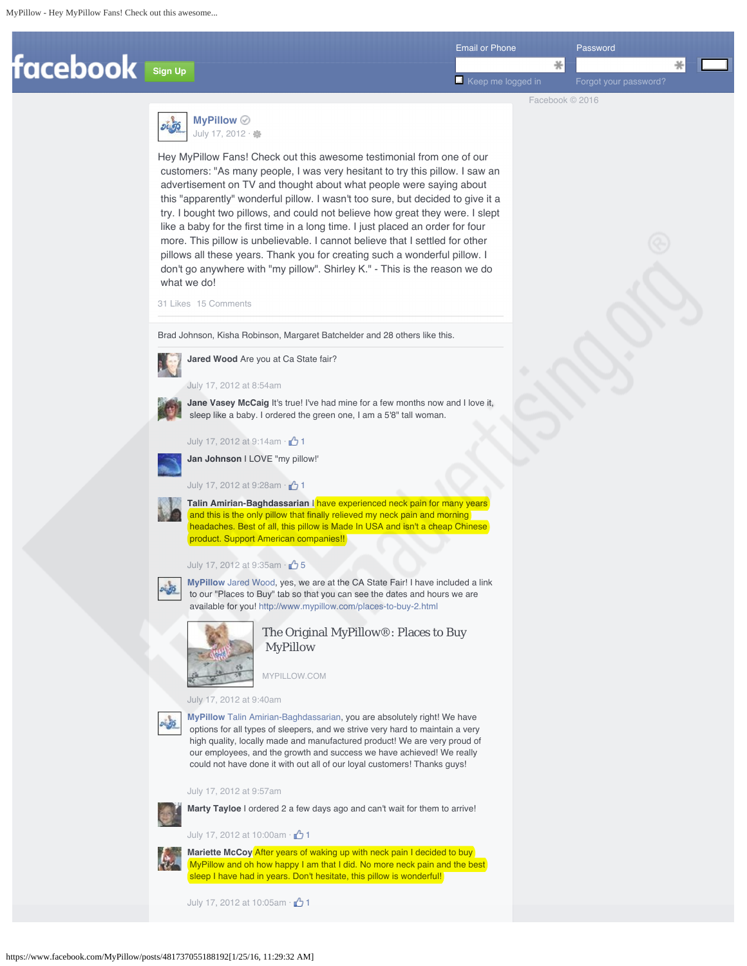



Hey MyPillow Fans! Check out this awesome testimonial from one of our customers: "As many people, I was very hesitant to try this pillow. I saw an advertisement on TV and thought about what people were saying about this "apparently" wonderful pillow. I wasn't too sure, but decided to give it a try. I bought two pillows, and could not believe how great they were. I slept like a baby for the first time in a long time. I just placed an order for four more. This pillow is unbelievable. I cannot believe that I settled for other pillows all these years. Thank you for creating such a wonderful pillow. I don't go anywhere with "my pillow". Shirley K." - This is the reason we do what we do!

31 Likes 15 Comments

Brad Johnson, Kisha Robinson, Margaret Batchelder and 28 others like this.



**Jared Wood** Are you at Ca State fair?

July 17, 2012 at 8:54am



**Jane Vasey McCaig** It's true! I've had mine for a few months now and I love it, sleep like a baby. I ordered the green one, I am a 5'8" tall woman.

July 17, 2012 at 9:14am  $\cdot$   $\uparrow$  1



**Jan Johnson** I LOVE "my pillow!'

July 17, 2012 at 9:28am  $\cdot$   $\uparrow$  1



**Talin Amirian-Baghdassarian** I have experienced neck pain for many years and this is the only pillow that finally relieved my neck pain and morning headaches. Best of all, this pillow is Made In USA and isn't a cheap Chinese product. Support American companies!!

July 17, 2012 at 9:35am  $\cdot$   $\uparrow$  5



**MyPillow** Jared Wood, yes, we are at the CA State Fair! I have included a link to our "Places to Buy" tab so that you can see the dates and hours we are available for you! http://www.mypillow.com/places-to-buy-2.html



The Original MyPillow®: Places to Buy MyPillow

MYPILLOW.COM

July 17, 2012 at 9:40am

**MyPillow** Talin Amirian-Baghdassarian, you are absolutely right! We have options for all types of sleepers, and we strive very hard to maintain a very high quality, locally made and manufactured product! We are very proud of our employees, and the growth and success we have achieved! We really could not have done it with out all of our loyal customers! Thanks guys!

July 17, 2012 at 9:57am



**Marty Tayloe** I ordered 2 a few days ago and can't wait for them to arrive!

July 17, 2012 at 10:00am  $\cdot$  <sup>1</sup>1



**Mariette McCoy** After years of waking up with neck pain I decided to buy MyPillow and oh how happy I am that I did. No more neck pain and the best sleep I have had in years. Don't hesitate, this pillow is wonderful!

July 17, 2012 at 10:05am  $\cdot$  1